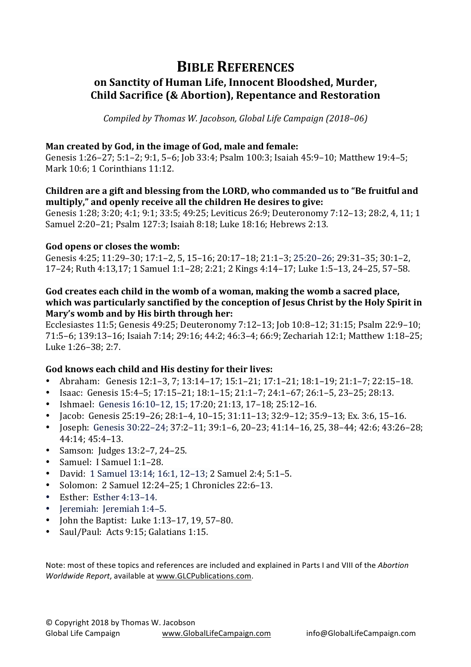# **BIBLE REFERENCES** on Sanctity of Human Life, Innocent Bloodshed, Murder, **Child Sacrifice (& Abortion), Repentance and Restoration**

*Compiled by Thomas W. Jacobson, Global Life Campaign (2018–06)* 

#### Man created by God, in the image of God, male and female:

Genesis 1:26–27; 5:1–2; 9:1, 5–6; Job 33:4; Psalm 100:3; Isaiah 45:9–10; Matthew 19:4–5; Mark 10:6; 1 Corinthians 11:12.

#### **Children are a gift and blessing from the LORD, who commanded us to "Be fruitful and** multiply," and openly receive all the children He desires to give:

Genesis 1:28; 3:20; 4:1; 9:1; 33:5; 49:25; Leviticus 26:9; Deuteronomy 7:12-13; 28:2, 4, 11; 1 Samuel 2:20–21; Psalm 127:3; Isaiah 8:18; Luke 18:16; Hebrews 2:13.

#### God opens or closes the womb:

Genesis 4:25; 11:29-30; 17:1-2, 5, 15-16; 20:17-18; 21:1-3; 25:20-26; 29:31-35; 30:1-2, 17–24; Ruth 4:13,17; 1 Samuel 1:1–28; 2:21; 2 Kings 4:14–17; Luke 1:5–13, 24–25, 57–58.

#### God creates each child in the womb of a woman, making the womb a sacred place, which was particularly sanctified by the conception of Jesus Christ by the Holy Spirit in **Mary's womb and by His birth through her:**

Ecclesiastes 11:5; Genesis 49:25; Deuteronomy 7:12-13; Job 10:8-12; 31:15; Psalm 22:9-10; 71:5-6; 139:13-16; Isaiah 7:14; 29:16; 44:2; 46:3-4; 66:9; Zechariah 12:1; Matthew 1:18-25; Luke 1:26-38; 2:7.

### God knows each child and His destiny for their lives:

- Abraham: Genesis  $12:1-3$ ,  $7; 13:14-17; 15:1-21; 17:1-21; 18:1-19; 21:1-7; 22:15-18.$
- Isaac: Genesis  $15:4-5$ ;  $17:15-21$ ;  $18:1-15$ ;  $21:1-7$ ;  $24:1-67$ ;  $26:1-5$ ,  $23-25$ ;  $28:13$ .
- Ishmael: Genesis  $16:10-12$ ,  $15$ ;  $17:20$ ;  $21:13$ ,  $17-18$ ;  $25:12-16$ .
- Jacob: Genesis  $25:19-26$ ;  $28:1-4$ ,  $10-15$ ;  $31:11-13$ ;  $32:9-12$ ;  $35:9-13$ ; Ex.  $3:6$ ,  $15-16$ .
- Joseph: Genesis  $30:22-24$ ;  $37:2-11$ ;  $39:1-6$ ,  $20-23$ ;  $41:14-16$ ,  $25$ ,  $38-44$ ;  $42:6$ ;  $43:26-28$ ; 44:14; 45:4–13.
- Samson: Judges  $13:2-7$ ,  $24-25$ .
- Samuel: I Samuel 1:1-28.
- David: 1 Samuel 13:14; 16:1, 12-13; 2 Samuel 2:4; 5:1-5.
- Solomon: 2 Samuel 12:24–25; 1 Chronicles 22:6–13.
- Esther: Esther  $4:13-14$ .
- Ieremiah: Ieremiah 1:4–5.
- John the Baptist: Luke  $1:13-17$ ,  $19$ ,  $57-80$ .
- Saul/Paul: Acts 9:15; Galatians 1:15.

Note: most of these topics and references are included and explained in Parts I and VIII of the *Abortion Worldwide Report*, available at www.GLCPublications.com.